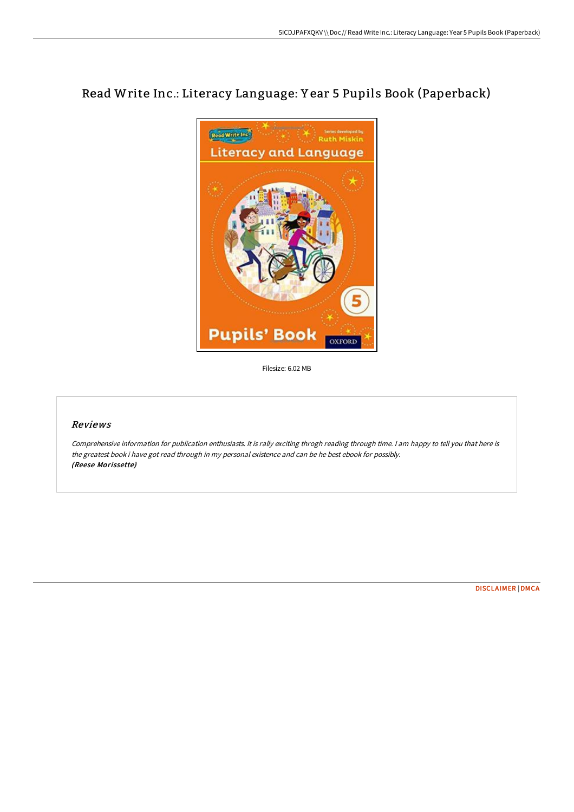# Read Write Inc.: Literacy Language: Y ear 5 Pupils Book (Paperback)



Filesize: 6.02 MB

#### Reviews

Comprehensive information for publication enthusiasts. It is rally exciting throgh reading through time. <sup>I</sup> am happy to tell you that here is the greatest book i have got read through in my personal existence and can be he best ebook for possibly. (Reese Morissette)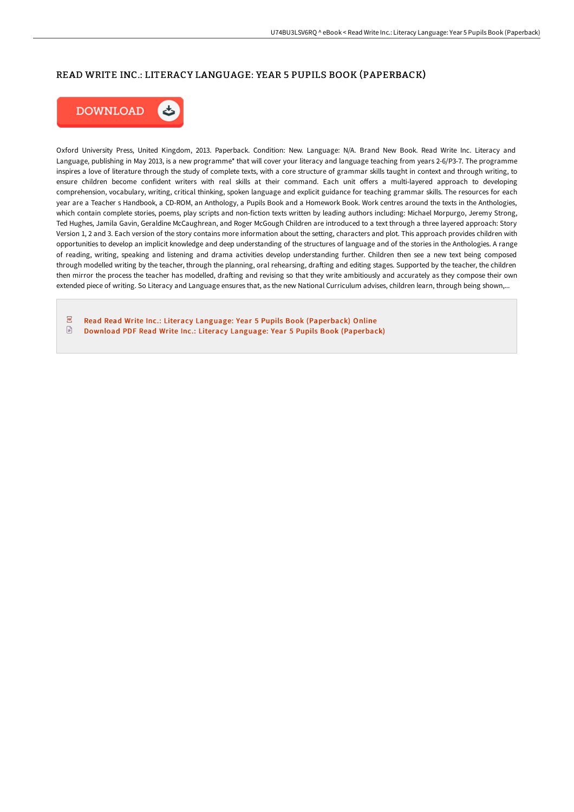# READ WRITE INC.: LITERACY LANGUAGE: YEAR 5 PUPILS BOOK (PAPERBACK)



Oxford University Press, United Kingdom, 2013. Paperback. Condition: New. Language: N/A. Brand New Book. Read Write Inc. Literacy and Language, publishing in May 2013, is a new programme\* that will cover your literacy and language teaching from years 2-6/P3-7. The programme inspires a love of literature through the study of complete texts, with a core structure of grammar skills taught in context and through writing, to ensure children become confident writers with real skills at their command. Each unit offers a multi-layered approach to developing comprehension, vocabulary, writing, critical thinking, spoken language and explicit guidance for teaching grammar skills. The resources for each year are a Teacher s Handbook, a CD-ROM, an Anthology, a Pupils Book and a Homework Book. Work centres around the texts in the Anthologies, which contain complete stories, poems, play scripts and non-fiction texts written by leading authors including: Michael Morpurgo, Jeremy Strong, Ted Hughes, Jamila Gavin, Geraldine McCaughrean, and Roger McGough Children are introduced to a text through a three layered approach: Story Version 1, 2 and 3. Each version of the story contains more information about the setting, characters and plot. This approach provides children with opportunities to develop an implicit knowledge and deep understanding of the structures of language and of the stories in the Anthologies. A range of reading, writing, speaking and listening and drama activities develop understanding further. Children then see a new text being composed through modelled writing by the teacher, through the planning, oral rehearsing, drafting and editing stages. Supported by the teacher, the children then mirror the process the teacher has modelled, drafting and revising so that they write ambitiously and accurately as they compose their own extended piece of writing. So Literacy and Language ensures that, as the new National Curriculum advises, children learn, through being shown,...

 $\sqrt{p_{\rm D}}$ Read Read Write Inc.: Literacy Language: Year 5 Pupils Book [\(Paperback\)](http://digilib.live/read-write-inc-literacy-language-year-5-pupils-b.html) Online  $\textcolor{red}{\textcolor{blue}{\boldsymbol{\mathsf{D}}}}$ Download PDF Read Write Inc.: Literacy Language: Year 5 Pupils Book [\(Paperback\)](http://digilib.live/read-write-inc-literacy-language-year-5-pupils-b.html)